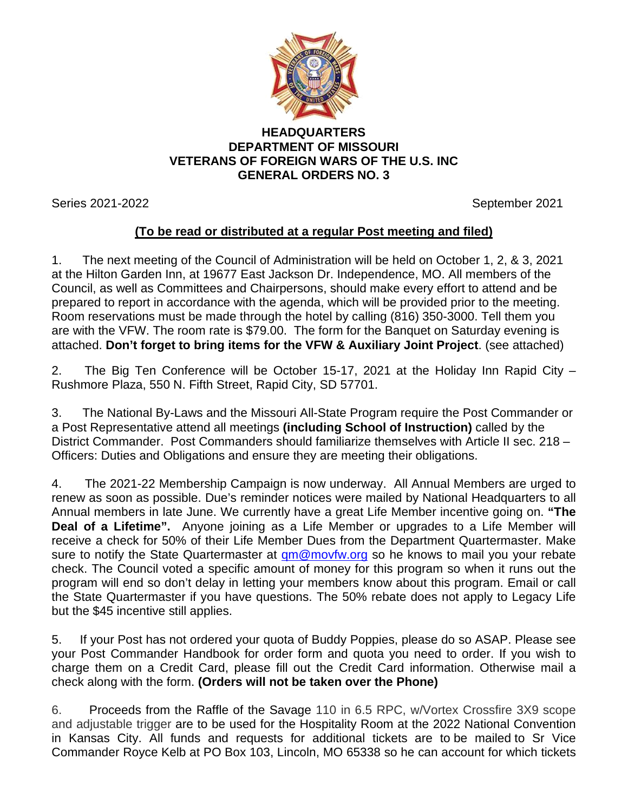

## **HEADQUARTERS DEPARTMENT OF MISSOURI VETERANS OF FOREIGN WARS OF THE U.S. INC GENERAL ORDERS NO. 3**

Series 2021-2022 September 2021

## **(To be read or distributed at a regular Post meeting and filed)**

1. The next meeting of the Council of Administration will be held on October 1, 2, & 3, 2021 at the Hilton Garden Inn, at 19677 East Jackson Dr. Independence, MO. All members of the Council, as well as Committees and Chairpersons, should make every effort to attend and be prepared to report in accordance with the agenda, which will be provided prior to the meeting. Room reservations must be made through the hotel by calling (816) 350-3000. Tell them you are with the VFW. The room rate is \$79.00. The form for the Banquet on Saturday evening is attached. **Don't forget to bring items for the VFW & Auxiliary Joint Project**. (see attached)

2. The Big Ten Conference will be October 15-17, 2021 at the Holiday Inn Rapid City – Rushmore Plaza, 550 N. Fifth Street, Rapid City, SD 57701.

3. The National By-Laws and the Missouri All-State Program require the Post Commander or a Post Representative attend all meetings **(including School of Instruction)** called by the District Commander. Post Commanders should familiarize themselves with Article II sec. 218 – Officers: Duties and Obligations and ensure they are meeting their obligations.

4. The 2021-22 Membership Campaign is now underway. All Annual Members are urged to renew as soon as possible. Due's reminder notices were mailed by National Headquarters to all Annual members in late June. We currently have a great Life Member incentive going on. **"The Deal of a Lifetime".** Anyone joining as a Life Member or upgrades to a Life Member will receive a check for 50% of their Life Member Dues from the Department Quartermaster. Make sure to notify the State Quartermaster at  $qm@movfw.org$  so he knows to mail you your rebate check. The Council voted a specific amount of money for this program so when it runs out the program will end so don't delay in letting your members know about this program. Email or call the State Quartermaster if you have questions. The 50% rebate does not apply to Legacy Life but the \$45 incentive still applies.

5. If your Post has not ordered your quota of Buddy Poppies, please do so ASAP. Please see your Post Commander Handbook for order form and quota you need to order. If you wish to charge them on a Credit Card, please fill out the Credit Card information. Otherwise mail a check along with the form. **(Orders will not be taken over the Phone)**

6. Proceeds from the Raffle of the Savage 110 in 6.5 RPC, w/Vortex Crossfire 3X9 scope and adjustable trigger are to be used for the Hospitality Room at the 2022 National Convention in Kansas City. All funds and requests for additional tickets are to be mailed to Sr Vice Commander Royce Kelb at PO Box 103, Lincoln, MO 65338 so he can account for which tickets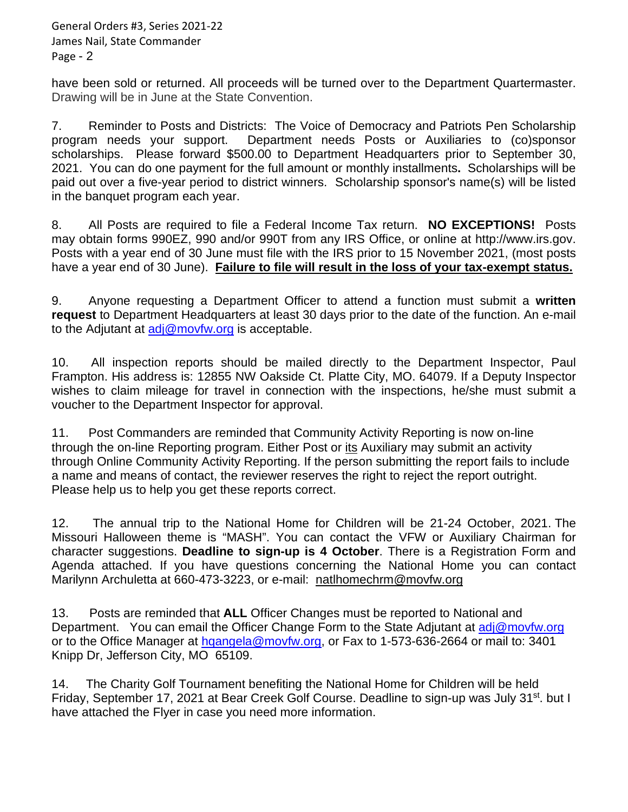General Orders #3, Series 2021-22 James Nail, State Commander Page - 2

have been sold or returned. All proceeds will be turned over to the Department Quartermaster. Drawing will be in June at the State Convention.

7. Reminder to Posts and Districts: The Voice of Democracy and Patriots Pen Scholarship program needs your support. Department needs Posts or Auxiliaries to (co)sponsor scholarships. Please forward \$500.00 to Department Headquarters prior to September 30, 2021. You can do one payment for the full amount or monthly installments**.** Scholarships will be paid out over a five-year period to district winners. Scholarship sponsor's name(s) will be listed in the banquet program each year.

8. All Posts are required to file a Federal Income Tax return. **NO EXCEPTIONS!** Posts may obtain forms 990EZ, 990 and/or 990T from any IRS Office, or online at http://www.irs.gov. Posts with a year end of 30 June must file with the IRS prior to 15 November 2021, (most posts have a year end of 30 June). **Failure to file will result in the loss of your tax-exempt status.**

9. Anyone requesting a Department Officer to attend a function must submit a **written request** to Department Headquarters at least 30 days prior to the date of the function. An e-mail to the Adjutant at [adj@movfw.org](mailto:adj@movfw.org) is acceptable.

10. All inspection reports should be mailed directly to the Department Inspector, Paul Frampton. His address is: 12855 NW Oakside Ct. Platte City, MO. 64079. If a Deputy Inspector wishes to claim mileage for travel in connection with the inspections, he/she must submit a voucher to the Department Inspector for approval.

11. Post Commanders are reminded that Community Activity Reporting is now on-line through the on-line Reporting program. Either Post or its Auxiliary may submit an activity through Online Community Activity Reporting. If the person submitting the report fails to include a name and means of contact, the reviewer reserves the right to reject the report outright. Please help us to help you get these reports correct.

12. The annual trip to the National Home for Children will be 21-24 October, 2021. The Missouri Halloween theme is "MASH". You can contact the VFW or Auxiliary Chairman for character suggestions. **Deadline to sign-up is 4 October**. There is a Registration Form and Agenda attached. If you have questions concerning the National Home you can contact Marilynn Archuletta at 660-473-3223, or e-mail: [natlhomechrm@movfw.org](mailto:natlhomechrm@movfw.org)

13. Posts are reminded that **ALL** Officer Changes must be reported to National and Department. You can email the Officer Change Form to the State Adjutant at [adj@movfw.org](mailto:adj@movfw.org) or to the Office Manager at [hqangela@movfw.org,](mailto:hqangela@movfw.org) or Fax to 1-573-636-2664 or mail to: 3401 Knipp Dr, Jefferson City, MO 65109.

14. The Charity Golf Tournament benefiting the National Home for Children will be held Friday, September 17, 2021 at Bear Creek Golf Course. Deadline to sign-up was July 31<sup>st</sup>. but I have attached the Flyer in case you need more information.